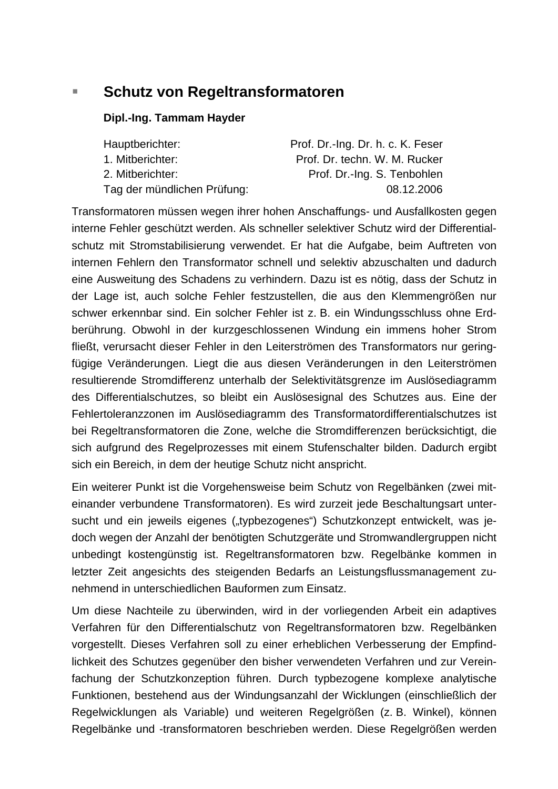# **Schutz von Regeltransformatoren**

#### **Dipl.-Ing. Tammam Hayder**

| Hauptberichter:             | Prof. Dr.-Ing. Dr. h. c. K. Feser |
|-----------------------------|-----------------------------------|
| 1. Mitberichter:            | Prof. Dr. techn. W. M. Rucker     |
| 2. Mitberichter:            | Prof. Dr.-Ing. S. Tenbohlen       |
| Tag der mündlichen Prüfung: | 08.12.2006                        |

Transformatoren müssen wegen ihrer hohen Anschaffungs- und Ausfallkosten gegen interne Fehler geschützt werden. Als schneller selektiver Schutz wird der Differentialschutz mit Stromstabilisierung verwendet. Er hat die Aufgabe, beim Auftreten von internen Fehlern den Transformator schnell und selektiv abzuschalten und dadurch eine Ausweitung des Schadens zu verhindern. Dazu ist es nötig, dass der Schutz in der Lage ist, auch solche Fehler festzustellen, die aus den Klemmengrößen nur schwer erkennbar sind. Ein solcher Fehler ist z. B. ein Windungsschluss ohne Erdberührung. Obwohl in der kurzgeschlossenen Windung ein immens hoher Strom fließt, verursacht dieser Fehler in den Leiterströmen des Transformators nur geringfügige Veränderungen. Liegt die aus diesen Veränderungen in den Leiterströmen resultierende Stromdifferenz unterhalb der Selektivitätsgrenze im Auslösediagramm des Differentialschutzes, so bleibt ein Auslösesignal des Schutzes aus. Eine der Fehlertoleranzzonen im Auslösediagramm des Transformatordifferentialschutzes ist bei Regeltransformatoren die Zone, welche die Stromdifferenzen berücksichtigt, die sich aufgrund des Regelprozesses mit einem Stufenschalter bilden. Dadurch ergibt sich ein Bereich, in dem der heutige Schutz nicht anspricht.

Ein weiterer Punkt ist die Vorgehensweise beim Schutz von Regelbänken (zwei miteinander verbundene Transformatoren). Es wird zurzeit jede Beschaltungsart untersucht und ein jeweils eigenes ("typbezogenes") Schutzkonzept entwickelt, was jedoch wegen der Anzahl der benötigten Schutzgeräte und Stromwandlergruppen nicht unbedingt kostengünstig ist. Regeltransformatoren bzw. Regelbänke kommen in letzter Zeit angesichts des steigenden Bedarfs an Leistungsflussmanagement zunehmend in unterschiedlichen Bauformen zum Einsatz.

Um diese Nachteile zu überwinden, wird in der vorliegenden Arbeit ein adaptives Verfahren für den Differentialschutz von Regeltransformatoren bzw. Regelbänken vorgestellt. Dieses Verfahren soll zu einer erheblichen Verbesserung der Empfindlichkeit des Schutzes gegenüber den bisher verwendeten Verfahren und zur Vereinfachung der Schutzkonzeption führen. Durch typbezogene komplexe analytische Funktionen, bestehend aus der Windungsanzahl der Wicklungen (einschließlich der Regelwicklungen als Variable) und weiteren Regelgrößen (z. B. Winkel), können Regelbänke und -transformatoren beschrieben werden. Diese Regelgrößen werden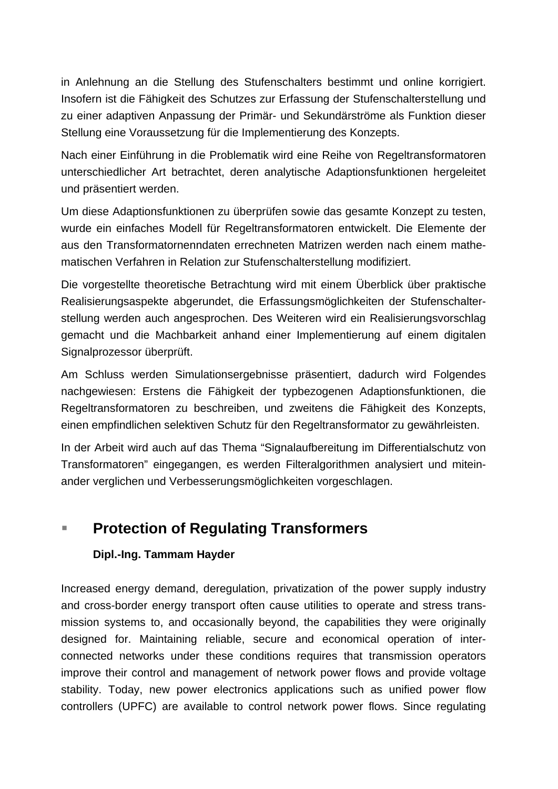in Anlehnung an die Stellung des Stufenschalters bestimmt und online korrigiert. Insofern ist die Fähigkeit des Schutzes zur Erfassung der Stufenschalterstellung und zu einer adaptiven Anpassung der Primär- und Sekundärströme als Funktion dieser Stellung eine Voraussetzung für die Implementierung des Konzepts.

Nach einer Einführung in die Problematik wird eine Reihe von Regeltransformatoren unterschiedlicher Art betrachtet, deren analytische Adaptionsfunktionen hergeleitet und präsentiert werden.

Um diese Adaptionsfunktionen zu überprüfen sowie das gesamte Konzept zu testen, wurde ein einfaches Modell für Regeltransformatoren entwickelt. Die Elemente der aus den Transformatornenndaten errechneten Matrizen werden nach einem mathematischen Verfahren in Relation zur Stufenschalterstellung modifiziert.

Die vorgestellte theoretische Betrachtung wird mit einem Überblick über praktische Realisierungsaspekte abgerundet, die Erfassungsmöglichkeiten der Stufenschalterstellung werden auch angesprochen. Des Weiteren wird ein Realisierungsvorschlag gemacht und die Machbarkeit anhand einer Implementierung auf einem digitalen Signalprozessor überprüft.

Am Schluss werden Simulationsergebnisse präsentiert, dadurch wird Folgendes nachgewiesen: Erstens die Fähigkeit der typbezogenen Adaptionsfunktionen, die Regeltransformatoren zu beschreiben, und zweitens die Fähigkeit des Konzepts, einen empfindlichen selektiven Schutz für den Regeltransformator zu gewährleisten.

In der Arbeit wird auch auf das Thema "Signalaufbereitung im Differentialschutz von Transformatoren" eingegangen, es werden Filteralgorithmen analysiert und miteinander verglichen und Verbesserungsmöglichkeiten vorgeschlagen.

# **Protection of Regulating Transformers**

# **Dipl.-Ing. Tammam Hayder**

Increased energy demand, deregulation, privatization of the power supply industry and cross-border energy transport often cause utilities to operate and stress transmission systems to, and occasionally beyond, the capabilities they were originally designed for. Maintaining reliable, secure and economical operation of interconnected networks under these conditions requires that transmission operators improve their control and management of network power flows and provide voltage stability. Today, new power electronics applications such as unified power flow controllers (UPFC) are available to control network power flows. Since regulating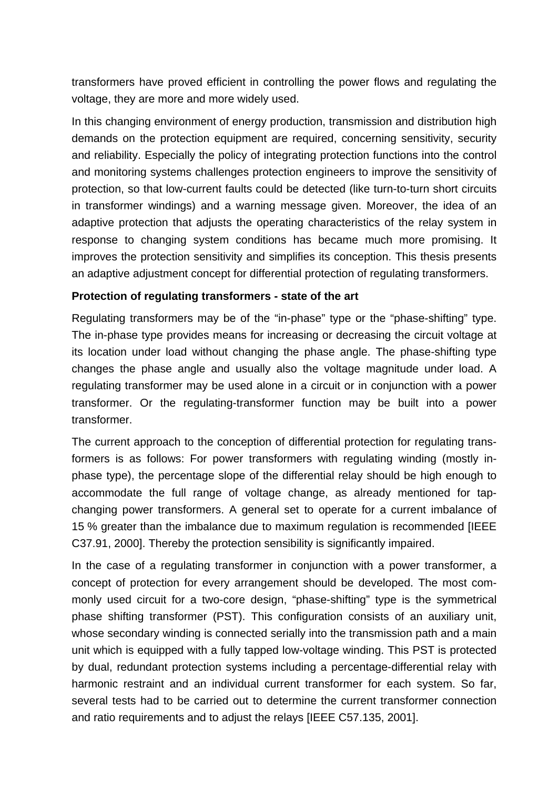transformers have proved efficient in controlling the power flows and regulating the voltage, they are more and more widely used.

In this changing environment of energy production, transmission and distribution high demands on the protection equipment are required, concerning sensitivity, security and reliability. Especially the policy of integrating protection functions into the control and monitoring systems challenges protection engineers to improve the sensitivity of protection, so that low-current faults could be detected (like turn-to-turn short circuits in transformer windings) and a warning message given. Moreover, the idea of an adaptive protection that adjusts the operating characteristics of the relay system in response to changing system conditions has became much more promising. It improves the protection sensitivity and simplifies its conception. This thesis presents an adaptive adjustment concept for differential protection of regulating transformers.

#### **Protection of regulating transformers - state of the art**

Regulating transformers may be of the "in-phase" type or the "phase-shifting" type. The in-phase type provides means for increasing or decreasing the circuit voltage at its location under load without changing the phase angle. The phase-shifting type changes the phase angle and usually also the voltage magnitude under load. A regulating transformer may be used alone in a circuit or in conjunction with a power transformer. Or the regulating-transformer function may be built into a power transformer.

The current approach to the conception of differential protection for regulating transformers is as follows: For power transformers with regulating winding (mostly inphase type), the percentage slope of the differential relay should be high enough to accommodate the full range of voltage change, as already mentioned for tapchanging power transformers. A general set to operate for a current imbalance of 15 % greater than the imbalance due to maximum regulation is recommended [IEEE C37.91, 2000]. Thereby the protection sensibility is significantly impaired.

In the case of a regulating transformer in conjunction with a power transformer, a concept of protection for every arrangement should be developed. The most commonly used circuit for a two-core design, "phase-shifting" type is the symmetrical phase shifting transformer (PST). This configuration consists of an auxiliary unit, whose secondary winding is connected serially into the transmission path and a main unit which is equipped with a fully tapped low-voltage winding. This PST is protected by dual, redundant protection systems including a percentage-differential relay with harmonic restraint and an individual current transformer for each system. So far, several tests had to be carried out to determine the current transformer connection and ratio requirements and to adjust the relays [IEEE C57.135, 2001].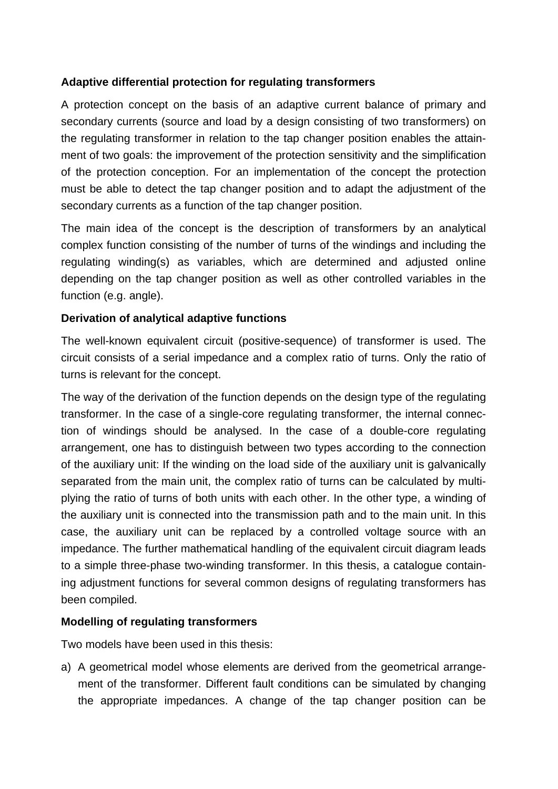## **Adaptive differential protection for regulating transformers**

A protection concept on the basis of an adaptive current balance of primary and secondary currents (source and load by a design consisting of two transformers) on the regulating transformer in relation to the tap changer position enables the attainment of two goals: the improvement of the protection sensitivity and the simplification of the protection conception. For an implementation of the concept the protection must be able to detect the tap changer position and to adapt the adjustment of the secondary currents as a function of the tap changer position.

The main idea of the concept is the description of transformers by an analytical complex function consisting of the number of turns of the windings and including the regulating winding(s) as variables, which are determined and adjusted online depending on the tap changer position as well as other controlled variables in the function (e.g. angle).

## **Derivation of analytical adaptive functions**

The well-known equivalent circuit (positive-sequence) of transformer is used. The circuit consists of a serial impedance and a complex ratio of turns. Only the ratio of turns is relevant for the concept.

The way of the derivation of the function depends on the design type of the regulating transformer. In the case of a single-core regulating transformer, the internal connection of windings should be analysed. In the case of a double-core regulating arrangement, one has to distinguish between two types according to the connection of the auxiliary unit: If the winding on the load side of the auxiliary unit is galvanically separated from the main unit, the complex ratio of turns can be calculated by multiplying the ratio of turns of both units with each other. In the other type, a winding of the auxiliary unit is connected into the transmission path and to the main unit. In this case, the auxiliary unit can be replaced by a controlled voltage source with an impedance. The further mathematical handling of the equivalent circuit diagram leads to a simple three-phase two-winding transformer. In this thesis, a catalogue containing adjustment functions for several common designs of regulating transformers has been compiled.

## **Modelling of regulating transformers**

Two models have been used in this thesis:

a) A geometrical model whose elements are derived from the geometrical arrangement of the transformer. Different fault conditions can be simulated by changing the appropriate impedances. A change of the tap changer position can be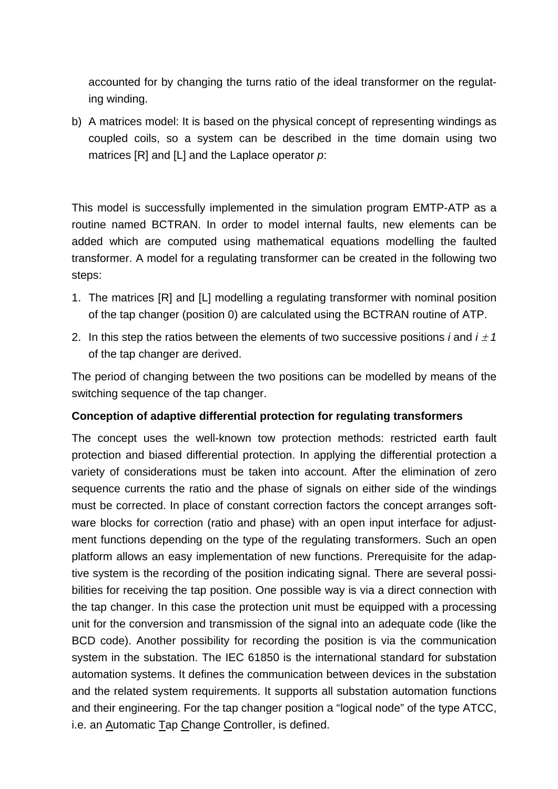accounted for by changing the turns ratio of the ideal transformer on the regulating winding.

b) A matrices model: It is based on the physical concept of representing windings as coupled coils, so a system can be described in the time domain using two matrices [R] and [L] and the Laplace operator *p*:

This model is successfully implemented in the simulation program EMTP-ATP as a routine named BCTRAN. In order to model internal faults, new elements can be added which are computed using mathematical equations modelling the faulted transformer. A model for a regulating transformer can be created in the following two steps:

- 1. The matrices [R] and [L] modelling a regulating transformer with nominal position of the tap changer (position 0) are calculated using the BCTRAN routine of ATP.
- 2. In this step the ratios between the elements of two successive positions *i* and  $i \pm 1$ of the tap changer are derived.

The period of changing between the two positions can be modelled by means of the switching sequence of the tap changer.

## **Conception of adaptive differential protection for regulating transformers**

The concept uses the well-known tow protection methods: restricted earth fault protection and biased differential protection. In applying the differential protection a variety of considerations must be taken into account. After the elimination of zero sequence currents the ratio and the phase of signals on either side of the windings must be corrected. In place of constant correction factors the concept arranges software blocks for correction (ratio and phase) with an open input interface for adjustment functions depending on the type of the regulating transformers. Such an open platform allows an easy implementation of new functions. Prerequisite for the adaptive system is the recording of the position indicating signal. There are several possibilities for receiving the tap position. One possible way is via a direct connection with the tap changer. In this case the protection unit must be equipped with a processing unit for the conversion and transmission of the signal into an adequate code (like the BCD code). Another possibility for recording the position is via the communication system in the substation. The IEC 61850 is the international standard for substation automation systems. It defines the communication between devices in the substation and the related system requirements. It supports all substation automation functions and their engineering. For the tap changer position a "logical node" of the type ATCC, i.e. an Automatic Tap Change Controller, is defined.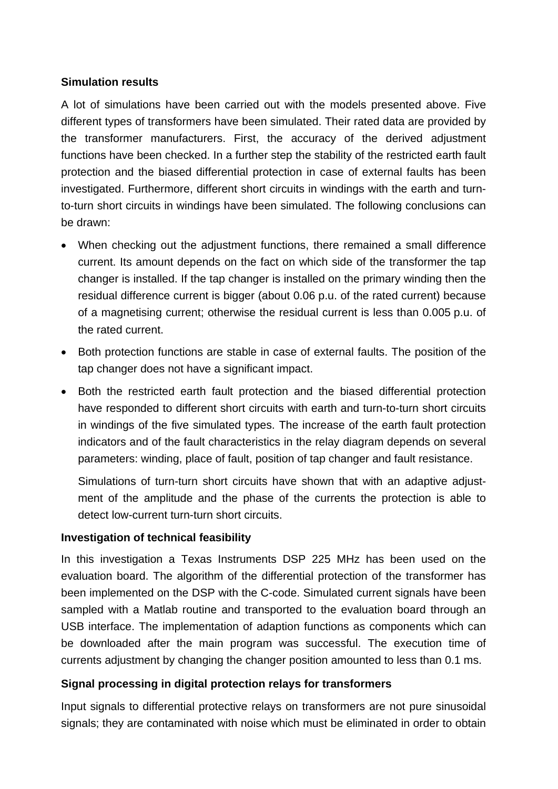#### **Simulation results**

A lot of simulations have been carried out with the models presented above. Five different types of transformers have been simulated. Their rated data are provided by the transformer manufacturers. First, the accuracy of the derived adjustment functions have been checked. In a further step the stability of the restricted earth fault protection and the biased differential protection in case of external faults has been investigated. Furthermore, different short circuits in windings with the earth and turnto-turn short circuits in windings have been simulated. The following conclusions can be drawn:

- When checking out the adjustment functions, there remained a small difference current. Its amount depends on the fact on which side of the transformer the tap changer is installed. If the tap changer is installed on the primary winding then the residual difference current is bigger (about 0.06 p.u. of the rated current) because of a magnetising current; otherwise the residual current is less than 0.005 p.u. of the rated current.
- Both protection functions are stable in case of external faults. The position of the tap changer does not have a significant impact.
- Both the restricted earth fault protection and the biased differential protection have responded to different short circuits with earth and turn-to-turn short circuits in windings of the five simulated types. The increase of the earth fault protection indicators and of the fault characteristics in the relay diagram depends on several parameters: winding, place of fault, position of tap changer and fault resistance.

Simulations of turn-turn short circuits have shown that with an adaptive adjustment of the amplitude and the phase of the currents the protection is able to detect low-current turn-turn short circuits.

#### **Investigation of technical feasibility**

In this investigation a Texas Instruments DSP 225 MHz has been used on the evaluation board. The algorithm of the differential protection of the transformer has been implemented on the DSP with the C-code. Simulated current signals have been sampled with a Matlab routine and transported to the evaluation board through an USB interface. The implementation of adaption functions as components which can be downloaded after the main program was successful. The execution time of currents adjustment by changing the changer position amounted to less than 0.1 ms.

## **Signal processing in digital protection relays for transformers**

Input signals to differential protective relays on transformers are not pure sinusoidal signals; they are contaminated with noise which must be eliminated in order to obtain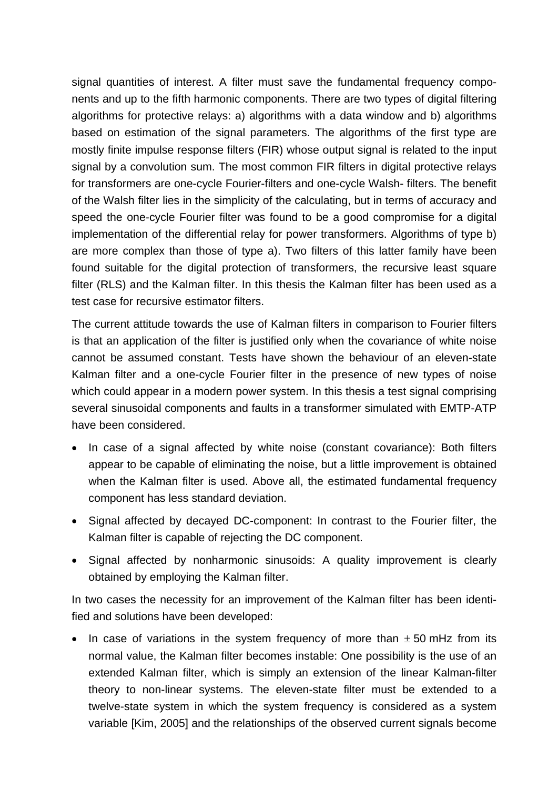signal quantities of interest. A filter must save the fundamental frequency components and up to the fifth harmonic components. There are two types of digital filtering algorithms for protective relays: a) algorithms with a data window and b) algorithms based on estimation of the signal parameters. The algorithms of the first type are mostly finite impulse response filters (FIR) whose output signal is related to the input signal by a convolution sum. The most common FIR filters in digital protective relays for transformers are one-cycle Fourier-filters and one-cycle Walsh- filters. The benefit of the Walsh filter lies in the simplicity of the calculating, but in terms of accuracy and speed the one-cycle Fourier filter was found to be a good compromise for a digital implementation of the differential relay for power transformers. Algorithms of type b) are more complex than those of type a). Two filters of this latter family have been found suitable for the digital protection of transformers, the recursive least square filter (RLS) and the Kalman filter. In this thesis the Kalman filter has been used as a test case for recursive estimator filters.

The current attitude towards the use of Kalman filters in comparison to Fourier filters is that an application of the filter is justified only when the covariance of white noise cannot be assumed constant. Tests have shown the behaviour of an eleven-state Kalman filter and a one-cycle Fourier filter in the presence of new types of noise which could appear in a modern power system. In this thesis a test signal comprising several sinusoidal components and faults in a transformer simulated with EMTP-ATP have been considered.

- In case of a signal affected by white noise (constant covariance): Both filters appear to be capable of eliminating the noise, but a little improvement is obtained when the Kalman filter is used. Above all, the estimated fundamental frequency component has less standard deviation.
- Signal affected by decayed DC-component: In contrast to the Fourier filter, the Kalman filter is capable of rejecting the DC component.
- Signal affected by nonharmonic sinusoids: A quality improvement is clearly obtained by employing the Kalman filter.

In two cases the necessity for an improvement of the Kalman filter has been identified and solutions have been developed:

In case of variations in the system frequency of more than  $\pm$  50 mHz from its normal value, the Kalman filter becomes instable: One possibility is the use of an extended Kalman filter, which is simply an extension of the linear Kalman-filter theory to non-linear systems. The eleven-state filter must be extended to a twelve-state system in which the system frequency is considered as a system variable [Kim, 2005] and the relationships of the observed current signals become